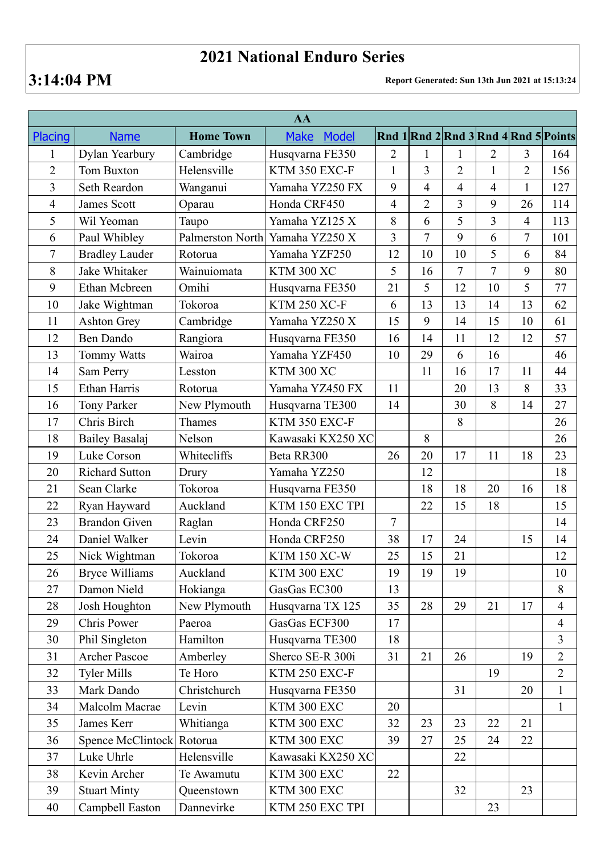## **2021 National Enduro Series**

**3:14:04 PM Report Generated: Sun 13th Jun 2021 at 15:13:24**

| AA                      |                       |                  |                             |                |                |                |                |                |                                      |  |
|-------------------------|-----------------------|------------------|-----------------------------|----------------|----------------|----------------|----------------|----------------|--------------------------------------|--|
| Placing                 | <b>Name</b>           | <b>Home Town</b> | <b>Make</b><br><b>Model</b> |                |                |                |                |                | Rnd 1 Rnd 2 Rnd 3 Rnd 4 Rnd 5 Points |  |
| $\mathbf{1}$            | Dylan Yearbury        | Cambridge        | Husqvarna FE350             | $\overline{2}$ | 1              | 1              | 2              | 3              | 164                                  |  |
| $\overline{2}$          | Tom Buxton            | Helensville      | KTM 350 EXC-F               | $\mathbf{1}$   | 3              | $\overline{2}$ | $\mathbf{1}$   | $\overline{2}$ | 156                                  |  |
| $\overline{\mathbf{3}}$ | Seth Reardon          | Wanganui         | Yamaha YZ250 FX             | 9              | $\overline{4}$ | $\overline{4}$ | $\overline{4}$ | $\mathbf{1}$   | 127                                  |  |
| 4                       | <b>James Scott</b>    | Oparau           | Honda CRF450                | $\overline{4}$ | $\overline{2}$ | $\overline{3}$ | 9              | 26             | 114                                  |  |
| 5                       | Wil Yeoman            | Taupo            | Yamaha YZ125 X              | 8              | 6              | 5              | $\overline{3}$ | $\overline{4}$ | 113                                  |  |
| 6                       | Paul Whibley          | Palmerston North | Yamaha YZ250 X              | 3              | $\overline{7}$ | 9              | 6              | $\tau$         | 101                                  |  |
| $\tau$                  | <b>Bradley Lauder</b> | Rotorua          | Yamaha YZF250               | 12             | 10             | 10             | 5              | 6              | 84                                   |  |
| 8                       | Jake Whitaker         | Wainuiomata      | <b>KTM 300 XC</b>           | 5              | 16             | $\overline{7}$ | $\overline{7}$ | 9              | 80                                   |  |
| 9                       | Ethan Mcbreen         | Omihi            | Husqvarna FE350             | 21             | 5              | 12             | 10             | 5              | 77                                   |  |
| 10                      | Jake Wightman         | Tokoroa          | <b>KTM 250 XC-F</b>         | 6              | 13             | 13             | 14             | 13             | 62                                   |  |
| 11                      | <b>Ashton Grey</b>    | Cambridge        | Yamaha YZ250 X              | 15             | 9              | 14             | 15             | 10             | 61                                   |  |
| 12                      | <b>Ben Dando</b>      | Rangiora         | Husqvarna FE350             | 16             | 14             | 11             | 12             | 12             | 57                                   |  |
| 13                      | <b>Tommy Watts</b>    | Wairoa           | Yamaha YZF450               | 10             | 29             | 6              | 16             |                | 46                                   |  |
| 14                      | Sam Perry             | Lesston          | <b>KTM 300 XC</b>           |                | 11             | 16             | 17             | 11             | 44                                   |  |
| 15                      | <b>Ethan Harris</b>   | Rotorua          | Yamaha YZ450 FX             | 11             |                | 20             | 13             | 8              | 33                                   |  |
| 16                      | Tony Parker           | New Plymouth     | Husqvarna TE300             | 14             |                | 30             | 8              | 14             | 27                                   |  |
| 17                      | Chris Birch           | Thames           | KTM 350 EXC-F               |                |                | 8              |                |                | 26                                   |  |
| 18                      | <b>Bailey Basalaj</b> | Nelson           | Kawasaki KX250 XC           |                | 8              |                |                |                | 26                                   |  |
| 19                      | Luke Corson           | Whitecliffs      | Beta RR300                  | 26             | 20             | 17             | 11             | 18             | 23                                   |  |
| 20                      | <b>Richard Sutton</b> | Drury            | Yamaha YZ250                |                | 12             |                |                |                | 18                                   |  |
| 21                      | Sean Clarke           | Tokoroa          | Husqvarna FE350             |                | 18             | 18             | 20             | 16             | 18                                   |  |
| 22                      | Ryan Hayward          | Auckland         | KTM 150 EXC TPI             |                | 22             | 15             | 18             |                | 15                                   |  |
| 23                      | <b>Brandon Given</b>  | Raglan           | Honda CRF250                | $\overline{7}$ |                |                |                |                | 14                                   |  |
| 24                      | Daniel Walker         | Levin            | Honda CRF250                | 38             | 17             | 24             |                | 15             | 14                                   |  |
| 25                      | Nick Wightman         | Tokoroa          | <b>KTM 150 XC-W</b>         | 25             | 15             | 21             |                |                | 12                                   |  |
| 26                      | <b>Bryce Williams</b> | Auckland         | KTM 300 EXC                 | 19             | 19             | 19             |                |                | 10                                   |  |
| 27                      | Damon Nield           | Hokianga         | GasGas EC300                | 13             |                |                |                |                | 8                                    |  |
| 28                      | Josh Houghton         | New Plymouth     | Husqvarna TX 125            | 35             | 28             | 29             | 21             | 17             | $\overline{4}$                       |  |
| 29                      | Chris Power           | Paeroa           | GasGas ECF300               | 17             |                |                |                |                | $\overline{4}$                       |  |
| 30                      | Phil Singleton        | Hamilton         | Husqvarna TE300             | 18             |                |                |                |                | 3                                    |  |
| 31                      | Archer Pascoe         | Amberley         | Sherco SE-R 300i            | 31             | 21             | 26             |                | 19             | $\overline{2}$                       |  |
| 32                      | <b>Tyler Mills</b>    | Te Horo          | KTM 250 EXC-F               |                |                |                | 19             |                | $\overline{2}$                       |  |
| 33                      | Mark Dando            | Christchurch     | Husqvarna FE350             |                |                | 31             |                | 20             | $\mathbf{1}$                         |  |
| 34                      | Malcolm Macrae        | Levin            | KTM 300 EXC                 | 20             |                |                |                |                | $\mathbf{1}$                         |  |
| 35                      | James Kerr            | Whitianga        | KTM 300 EXC                 | 32             | 23             | 23             | 22             | 21             |                                      |  |
| 36                      | Spence McClintock     | Rotorua          | KTM 300 EXC                 | 39             | 27             | 25             | 24             | 22             |                                      |  |
| 37                      | Luke Uhrle            | Helensville      | Kawasaki KX250 XC           |                |                | 22             |                |                |                                      |  |
| 38                      | Kevin Archer          | Te Awamutu       | KTM 300 EXC                 | 22             |                |                |                |                |                                      |  |
| 39                      | <b>Stuart Minty</b>   | Queenstown       | KTM 300 EXC                 |                |                | 32             |                | 23             |                                      |  |
| 40                      | Campbell Easton       | Dannevirke       | KTM 250 EXC TPI             |                |                |                | 23             |                |                                      |  |